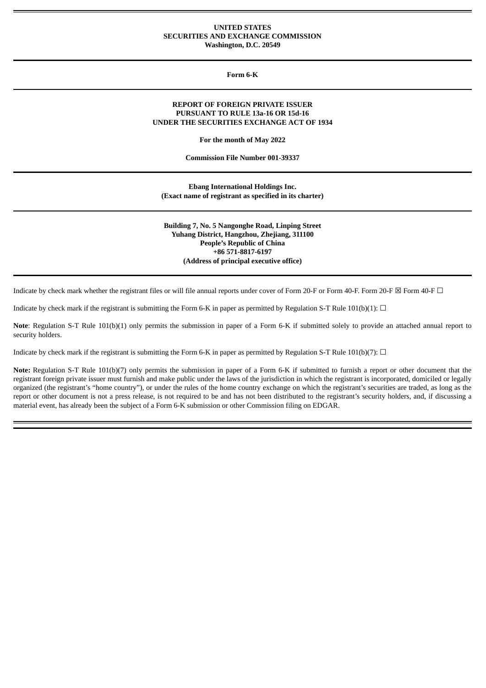## **UNITED STATES SECURITIES AND EXCHANGE COMMISSION Washington, D.C. 20549**

**Form 6-K**

## **REPORT OF FOREIGN PRIVATE ISSUER PURSUANT TO RULE 13a-16 OR 15d-16 UNDER THE SECURITIES EXCHANGE ACT OF 1934**

**For the month of May 2022**

**Commission File Number 001-39337**

**Ebang International Holdings Inc. (Exact name of registrant as specified in its charter)**

**Building 7, No. 5 Nangonghe Road, Linping Street Yuhang District, Hangzhou, Zhejiang, 311100 People's Republic of China +86 571-8817-6197 (Address of principal executive office)**

Indicate by check mark whether the registrant files or will file annual reports under cover of Form 20-F or Form 40-F. Form 20-F  $\boxtimes$  Form 40-F  $\Box$ 

Indicate by check mark if the registrant is submitting the Form 6-K in paper as permitted by Regulation S-T Rule 101(b)(1):  $\Box$ 

**Note**: Regulation S-T Rule 101(b)(1) only permits the submission in paper of a Form 6-K if submitted solely to provide an attached annual report to security holders.

Indicate by check mark if the registrant is submitting the Form 6-K in paper as permitted by Regulation S-T Rule 101(b)(7):  $\Box$ 

**Note:** Regulation S-T Rule 101(b)(7) only permits the submission in paper of a Form 6-K if submitted to furnish a report or other document that the registrant foreign private issuer must furnish and make public under the laws of the jurisdiction in which the registrant is incorporated, domiciled or legally organized (the registrant's "home country"), or under the rules of the home country exchange on which the registrant's securities are traded, as long as the report or other document is not a press release, is not required to be and has not been distributed to the registrant's security holders, and, if discussing a material event, has already been the subject of a Form 6-K submission or other Commission filing on EDGAR.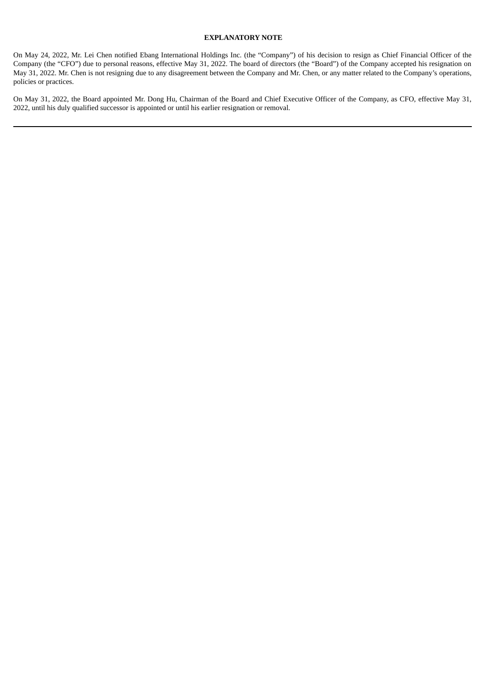## **EXPLANATORY NOTE**

On May 24, 2022, Mr. Lei Chen notified Ebang International Holdings Inc. (the "Company") of his decision to resign as Chief Financial Officer of the Company (the "CFO") due to personal reasons, effective May 31, 2022. The board of directors (the "Board") of the Company accepted his resignation on May 31, 2022. Mr. Chen is not resigning due to any disagreement between the Company and Mr. Chen, or any matter related to the Company's operations, policies or practices.

On May 31, 2022, the Board appointed Mr. Dong Hu, Chairman of the Board and Chief Executive Officer of the Company, as CFO, effective May 31, 2022, until his duly qualified successor is appointed or until his earlier resignation or removal.